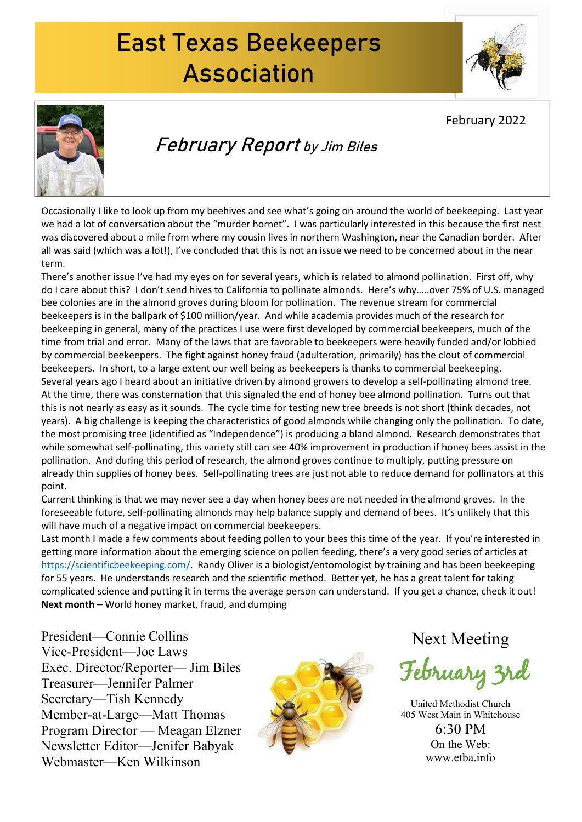### East Texas Beekeepers Association





February Report by Jim Biles

Occasionally I like to look up from my beehives and see what's going on around the world of beekeeping. Last year we had a lot of conversation about the "murder hornet". I was particularly interested in this because the first nest was discovered about a mile from where my cousin lives in northern Washington, near the Canadian border. After all was said (which was a lot!), I've concluded that this is not an issue we need to be concerned about in the near term.

There's another issue I've had my eyes on for several years, which is related to almond pollination. First off, why do I care about this? I don't send hives to California to pollinate almonds. Here's why…..over 75% of U.S. managed bee colonies are in the almond groves during bloom for pollination. The revenue stream for commercial beekeepers is in the ballpark of \$100 million/year. And while academia provides much of the research for beekeeping in general, many of the practices I use were first developed by commercial beekeepers, much of the time from trial and error. Many of the laws that are favorable to beekeepers were heavily funded and/or lobbied by commercial beekeepers. The fight against honey fraud (adulteration, primarily) has the clout of commercial beekeepers. In short, to a large extent our well being as beekeepers is thanks to commercial beekeeping. Several years ago I heard about an initiative driven by almond growers to develop a self-pollinating almond tree. At the time, there was consternation that this signaled the end of honey bee almond pollination. Turns out that this is not nearly as easy as it sounds. The cycle time for testing new tree breeds is not short (think decades, not years). A big challenge is keeping the characteristics of good almonds while changing only the pollination. To date, the most promising tree (identified as "Independence") is producing a bland almond. Research demonstrates that while somewhat self-pollinating, this variety still can see 40% improvement in production if honey bees assist in the pollination. And during this period of research, the almond groves continue to multiply, putting pressure on already thin supplies of honey bees. Self-pollinating trees are just not able to reduce demand for pollinators atthis point.

Current thinking is that we may never see a day when honey bees are not needed in the almond groves. In the foreseeable future, self-pollinating almonds may help balance supply and demand of bees. It's unlikely that this will have much of a negative impact on commercial beekeepers.

Last month I made a few comments about feeding pollen to your bees this time of the year. If you're interested in getting more information about the emerging science on pollen feeding, there's a very good series of articles at [https://scientificbeekeeping.com/.](https://scientificbeekeeping.com/) Randy Oliver is a biologist/entomologist by training and has been beekeeping for 55 years. He understands research and the scientific method. Better yet, he has a great talent for taking complicated science and putting it in terms the average person can understand. If you get a chance, check it out! **Next month** –World honey market, fraud, and dumping

President—Connie Collins Vice-President—Joe Laws Exec. Director/Reporter— Jim Biles Treasurer—Jennifer Palmer Secretary—Tish Kennedy Member-at-Large—Matt Thomas Program Director — Meagan Elzner Newsletter Editor—Jenifer Babyak Webmaster—Ken Wilkinson



Next Meeting

February 3rd

United Methodist Church 405 West Main in Whitehouse

6:30 PM On the Web: www.etba.info

#### February 2022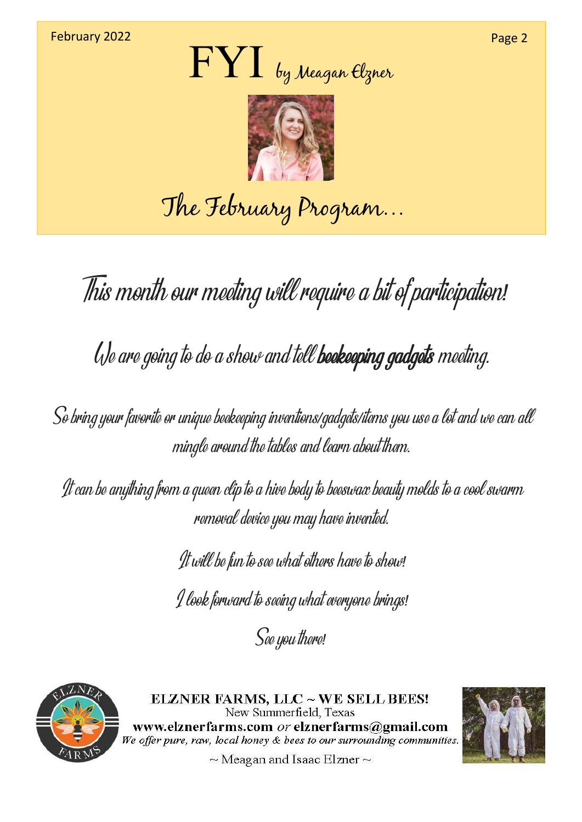



## The February Program…

This month our meeting wil require <sup>a</sup> bit of participation*!*

We are going to do <sup>a</sup> show and tel beekeeping gadgets meeting*.*

So bring your favorite or unique beekeeping inventions*/*gadgets*/*items you use <sup>a</sup> lot and we can al mingle around the tables and learn about them*.*

It can be anything from <sup>a</sup> queen clip to <sup>a</sup> hive body to beeswax beauty molds to <sup>a</sup> cool swarm removal device you may have invented*.*

It wil be fun to see what others have to show*!*

I look forward toseeing what everyone brings*!*

See you there*!*



ELZNER FARMS, LLC ~ WE SELL BEES! New Summerfield, Texas www.elznerfarms.com or elznerfarms@gmail.com We offer pure, raw, local honey & bees to our surrounding communities.



 $\sim$  Meagan and Isaac Elzner  $\sim$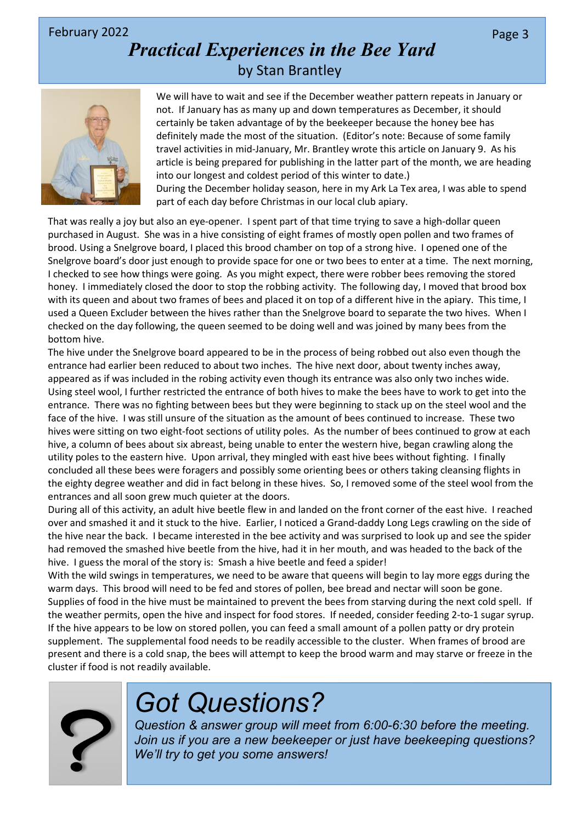#### February 2022  $\blacksquare$  Page 3  $\blacksquare$

### *Practical Experiences in the Bee Yard* by Stan Brantley



We will have to wait and see if the December weather pattern repeats in January or not. If January has as many up and down temperatures as December, it should certainly be taken advantage of by the beekeeper because the honey bee has definitely made the most of the situation. (Editor's note: Because of some family travel activities in mid-January, Mr. Brantley wrote this article on January 9. As his article is being prepared for publishing in the latter part of the month, we are heading into our longest and coldest period of this winter to date.)

During the December holiday season, here in my Ark La Tex area, I was able to spend part of each day before Christmas in our local club apiary.

That was really a joy but also an eye-opener. I spent part of that time trying to save a high-dollar queen purchased in August. She was in a hive consisting of eight frames of mostly open pollen and two frames of brood. Using a Snelgrove board, I placed this brood chamber on top of a strong hive. I opened one of the Snelgrove board's door just enough to provide space for one or two bees to enter at a time. The next morning, I checked to see how things were going. As you might expect, there were robber bees removing the stored honey. I immediately closed the door to stop the robbing activity. The following day, I moved that brood box with its queen and about two frames of bees and placed it on top of a different hive in the apiary. This time, I used a Queen Excluder between the hives rather than the Snelgrove board to separate the two hives. When I checked on the day following, the queen seemed to be doing welland was joined by many bees from the bottom hive.

The hive under the Snelgrove board appeared to be in the process of being robbed out also even though the entrance had earlier been reduced to about two inches. The hive next door, about twenty inches away, appeared as if was included in the robing activity even though its entrance was also only two inches wide.<br>Using steel wool, I further restricted the entrance of both hives to make the bees have to work to get into the entrance. There was no fighting between bees but they were beginning to stack up on the steel wool and the face of the hive. I was still unsure of the situation as the amount of bees continued to increase. These two hives were sitting on two eight-foot sections of utility poles. As the number of bees continued to grow at each hive, a column of bees about six abreast, being unable to enter the western hive, began crawling along the utility poles to the eastern hive. Upon arrival, they mingled with east hive bees without fighting. I finally concluded all these bees were foragers and possibly some orienting bees or others taking cleansing flights in the eighty degree weather and did in fact belong in these hives. So, I removed some of the steel wool from the entrances and all soon grew much quieter at the doors.

During all of this activity, an adult hive beetle flew in and landed on the front corner of the east hive. I reached over and smashed it and it stuck to the hive. Earlier, I noticed a Grand-daddy Long Legs crawling on the side of the hive near the back. I became interested in the bee activity and was surprised to look up and see the spider had removed the smashed hive beetle from the hive, had it in hermouth, and was headed to the back of the hive. I guess the moral of the story is: Smash a hive beetle and feed a spider!

With the wild swings in temperatures, we need to be aware that queens will begin to lay more eggs during the warm days. This brood will need to be fed and stores of pollen, bee bread and nectar will soon be gone. Supplies of food in the hive must be maintained to prevent the bees from starving during the next cold spell. If the weather permits, open the hive and inspect for food stores. If needed, consider feeding 2-to-1 sugar syrup. If the hive appears to be low on stored pollen, you can feed a small amount of a pollen patty or dry protein supplement. The supplemental food needs to be readily accessible to the cluster. When frames of brood are present and there is a cold snap, the bees will attempt to keep the brood warm and may starve or freeze in the cluster if food is not readily available.



### *Got Questions?*

*Question & answer group will meet from 6:00-6:30 before the meeting. Join us if you are a new beekeeper or just have beekeeping questions? We'll try to get you some answers!*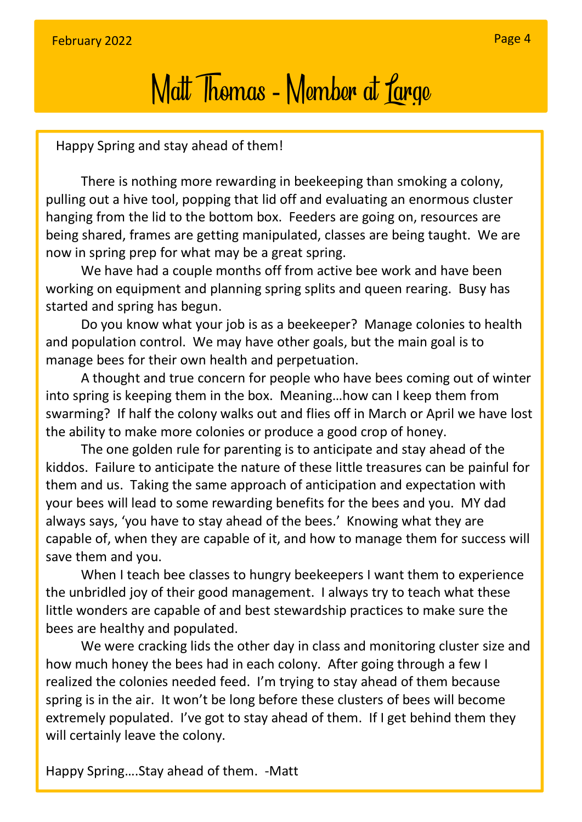# Matt Thomas - Member at Large

Happy Spring and stay ahead of them!

There is nothing more rewarding in beekeeping than smoking a colony, pulling out a hive tool, popping that lid off and evaluating an enormous cluster hanging from the lid to the bottom box. Feeders are going on, resources are being shared, frames are getting manipulated, classes are being taught. We are now in spring prep for what may be a great spring.

We have had a couple months off from active bee work and have been working on equipment and planning spring splits and queen rearing. Busy has started and spring has begun.

Do you know what your job is as a beekeeper? Manage colonies to health and population control. We may have other goals, but the main goal is to manage bees for their own health and perpetuation.

A thought and true concern for people who have bees coming out of winter into spring is keeping them in the box. Meaning…how can I keep them from swarming? If half the colony walks out and flies off in March or April we have lost the ability to make more colonies or produce a good crop of honey.

The one golden rule for parenting is to anticipate and stay ahead of the kiddos. Failure to anticipate the nature of these little treasures can be painful for them and us. Taking the same approach of anticipation and expectation with your bees will lead to some rewarding benefits for the bees and you. MY dad always says, 'you have to stay ahead of the bees.' Knowing what they are capable of, when they are capable of it, and how to manage them for success will save them and you.

When I teach bee classes to hungry beekeepers I want them to experience the unbridled joy of their good management. I always try to teach what these little wonders are capable of and best stewardship practices to make sure the bees are healthy and populated.

We were cracking lids the other day in class and monitoring cluster size and how much honey the bees had in each colony. After going through a few I realized the colonies needed feed. I'm trying to stay ahead of them because spring is in the air. It won't be long before these clusters of bees will become extremely populated. I've got to stay ahead of them. If Iget behind them they will certainly leave the colony.

Happy Spring….Stay ahead of them. -Matt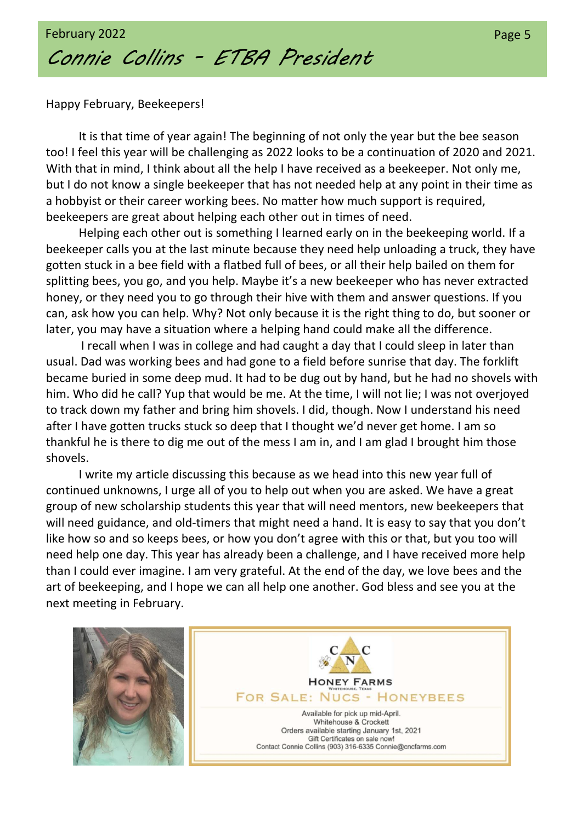

Happy February, Beekeepers!

It is that time of year again! The beginning of not only the year but the bee season too! I feel this year will be challenging as 2022 looks to be a continuation of 2020 and 2021. With that in mind, I think about all the help I have received as a beekeeper. Not only me, but I do not know a single beekeeper that has not needed help at any point in their time as a hobbyist or their career working bees. No matter how much support is required, beekeepers are great about helping each other out in times of need.

Helping each other out is something I learned early on in the beekeeping world. If a beekeeper calls you at the last minute because they need help unloading a truck, they have gotten stuck in a bee field with a flatbed full of bees, or all their help bailed on them for splitting bees, you go, and you help. Maybe it's a new beekeeper who has never extracted honey, or they need you to go through their hive with them and answer questions. If you can, ask how you can help. Why? Not only because it is the right thing to do, but sooner or later, you may have a situation where a helping hand could make all the difference.

I recall when I was in college and had caught a day that I could sleep in later than usual. Dad was working bees and had gone to a field before sunrise that day. The forklift became buried in some deep mud. It had to be dug out by hand, but he had no shovels with him. Who did he call? Yup that would be me. At the time, I will not lie; I was not overjoyed to track down my father and bring him shovels. I did, though. Now I understand his need after I have gotten trucks stuck so deep that I thought we'd never get home. I am so thankful he is there to dig me out of the mess I am in, and I am glad I brought him those shovels.

I write my article discussing this because as we head into this new year full of continued unknowns, I urge all of you to help out when you are asked. We have a great group of new scholarship students this year that will need mentors, new beekeepers that will need guidance, and old-timers that might need a hand. It is easy to say that you don't like how so and so keeps bees, or how you don't agree with this or that, but you too will need help one day. This year has already been a challenge, and I have received more help than I could ever imagine. I am very grateful. At the end of the day, we love bees and the art of beekeeping, and I hope we can all help one another. God bless and see you at the next meeting in February.

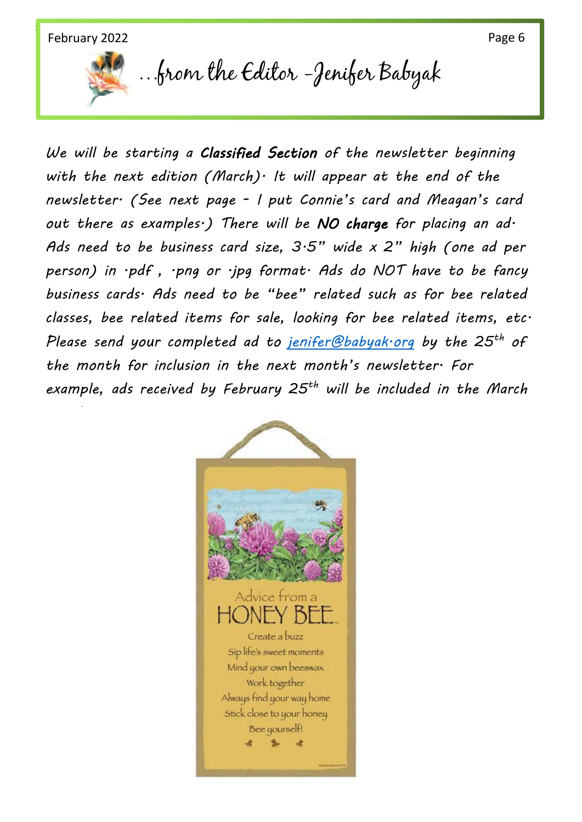*newsletter.*



…from the Editor -Jenifer Babyak

*We will be starting a Classified Section of the newsletter beginning with the next edition (March). It will appear at the end of the newsletter. (See next page - I put Connie's card and Meagan's card out there as examples.) There will be NO charge for placing an ad. Ads need to be business card size, 3.5" wide x 2" high (one ad per person) in .pdf , .png or .jpg format. Ads do NOT have to be fancy business cards. Ads need to be "bee" related such as for bee related classes, bee related items for sale, looking for bee related items, etc. Please send your completed ad to [jenifer@babyak.org](mailto:jenifer@babyak.org) by the 25 th of the month for inclusion in the next month's newsletter. For example, ads received by February 25 th will be included in the March*